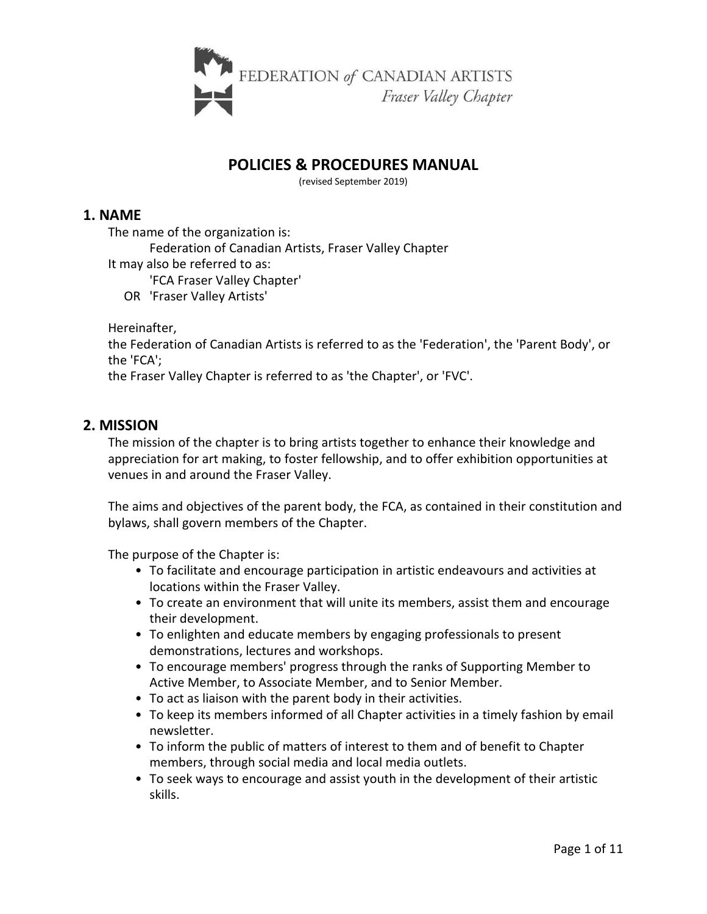

# **POLICIES & PROCEDURES MANUAL**

(revised September 2019)

## **1. NAME**

The name of the organization is:

Federation of Canadian Artists, Fraser Valley Chapter

It may also be referred to as:

'FCA Fraser Valley Chapter'

OR 'Fraser Valley Artists'

Hereinafter,

the Federation of Canadian Artists is referred to as the 'Federation', the 'Parent Body', or the 'FCA';

the Fraser Valley Chapter is referred to as 'the Chapter', or 'FVC'.

## **2. MISSION**

The mission of the chapter is to bring artists together to enhance their knowledge and appreciation for art making, to foster fellowship, and to offer exhibition opportunities at venues in and around the Fraser Valley.

The aims and objectives of the parent body, the FCA, as contained in their constitution and bylaws, shall govern members of the Chapter.

The purpose of the Chapter is:

- To facilitate and encourage participation in artistic endeavours and activities at locations within the Fraser Valley.
- To create an environment that will unite its members, assist them and encourage their development.
- To enlighten and educate members by engaging professionals to present demonstrations, lectures and workshops.
- To encourage members' progress through the ranks of Supporting Member to Active Member, to Associate Member, and to Senior Member.
- To act as liaison with the parent body in their activities.
- To keep its members informed of all Chapter activities in a timely fashion by email newsletter.
- To inform the public of matters of interest to them and of benefit to Chapter members, through social media and local media outlets.
- To seek ways to encourage and assist youth in the development of their artistic skills.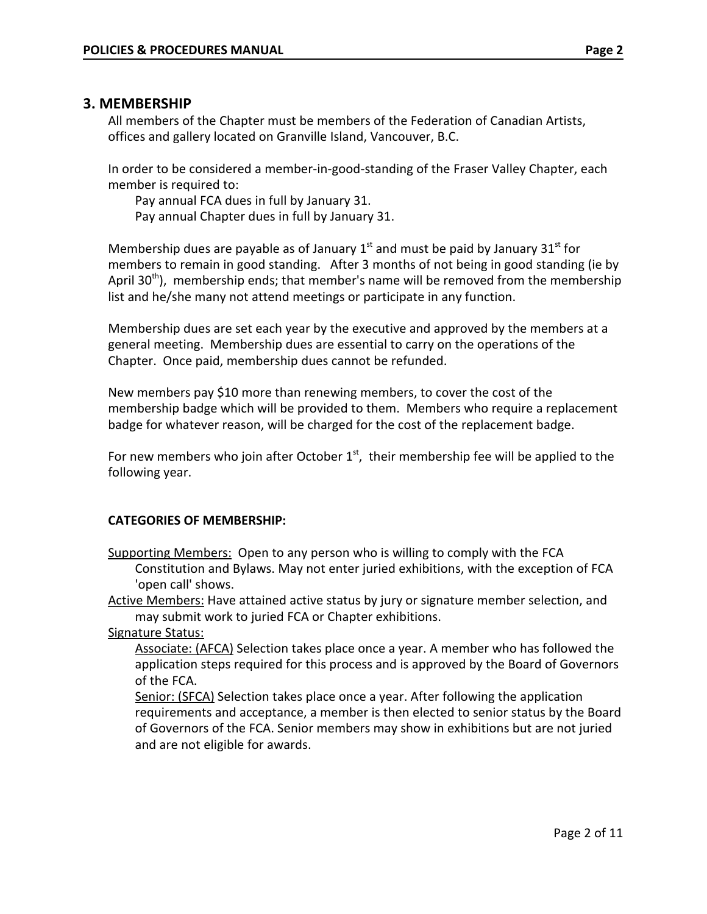### **3. MEMBERSHIP**

All members of the Chapter must be members of the Federation of Canadian Artists, offices and gallery located on Granville Island, Vancouver, B.C.

In order to be considered a member-in-good-standing of the Fraser Valley Chapter, each member is required to:

Pay annual FCA dues in full by January 31. Pay annual Chapter dues in full by January 31.

Membership dues are payable as of January  $1<sup>st</sup>$  and must be paid by January 31 $<sup>st</sup>$  for</sup> members to remain in good standing. After 3 months of not being in good standing (ie by April 30<sup>th</sup>), membership ends; that member's name will be removed from the membership list and he/she many not attend meetings or participate in any function.

Membership dues are set each year by the executive and approved by the members at a general meeting. Membership dues are essential to carry on the operations of the Chapter. Once paid, membership dues cannot be refunded.

New members pay \$10 more than renewing members, to cover the cost of the membership badge which will be provided to them. Members who require a replacement badge for whatever reason, will be charged for the cost of the replacement badge.

For new members who join after October  $1<sup>st</sup>$ , their membership fee will be applied to the following year.

### **CATEGORIES OF MEMBERSHIP:**

Supporting Members: Open to any person who is willing to comply with the FCA Constitution and Bylaws. May not enter juried exhibitions, with the exception of FCA 'open call' shows.

Active Members: Have attained active status by jury or signature member selection, and may submit work to juried FCA or Chapter exhibitions.

Signature Status:

Associate: (AFCA) Selection takes place once a year. A member who has followed the application steps required for this process and is approved by the Board of Governors of the FCA.

Senior: (SFCA) Selection takes place once a year. After following the application requirements and acceptance, a member is then elected to senior status by the Board of Governors of the FCA. Senior members may show in exhibitions but are not juried and are not eligible for awards.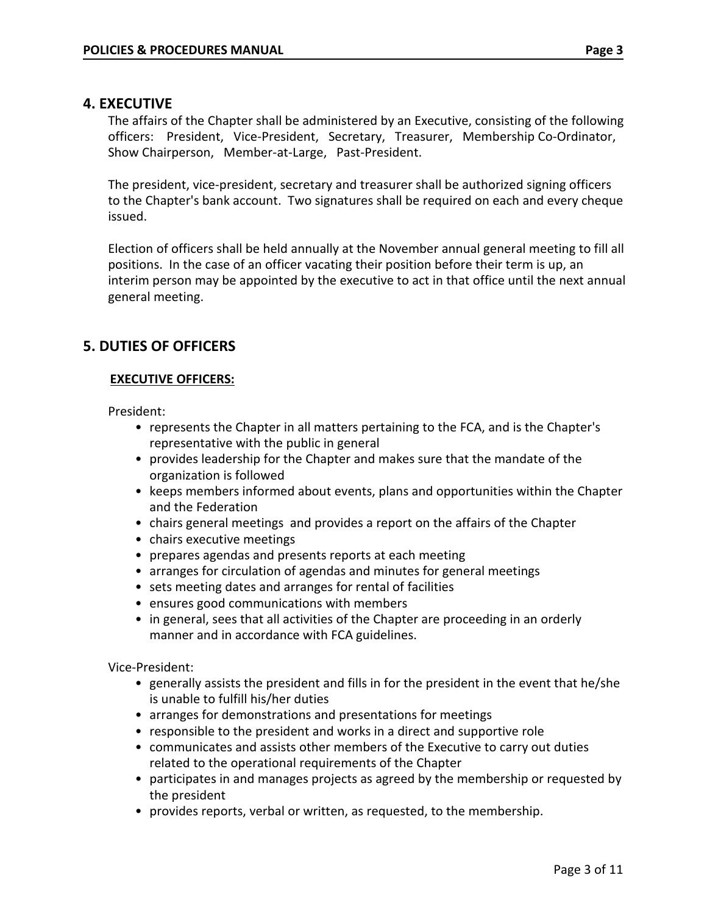### **4. EXECUTIVE**

The affairs of the Chapter shall be administered by an Executive, consisting of the following officers: President, Vice-President, Secretary, Treasurer, Membership Co-Ordinator, Show Chairperson, Member-at-Large, Past-President.

The president, vice-president, secretary and treasurer shall be authorized signing officers to the Chapter's bank account. Two signatures shall be required on each and every cheque issued.

Election of officers shall be held annually at the November annual general meeting to fill all positions. In the case of an officer vacating their position before their term is up, an interim person may be appointed by the executive to act in that office until the next annual general meeting.

## **5. DUTIES OF OFFICERS**

### **EXECUTIVE OFFICERS:**

President:

- represents the Chapter in all matters pertaining to the FCA, and is the Chapter's representative with the public in general
- provides leadership for the Chapter and makes sure that the mandate of the organization is followed
- keeps members informed about events, plans and opportunities within the Chapter and the Federation
- chairs general meetings and provides a report on the affairs of the Chapter
- chairs executive meetings
- prepares agendas and presents reports at each meeting
- arranges for circulation of agendas and minutes for general meetings
- sets meeting dates and arranges for rental of facilities
- ensures good communications with members
- in general, sees that all activities of the Chapter are proceeding in an orderly manner and in accordance with FCA guidelines.

Vice-President:

- generally assists the president and fills in for the president in the event that he/she is unable to fulfill his/her duties
- arranges for demonstrations and presentations for meetings
- responsible to the president and works in a direct and supportive role
- communicates and assists other members of the Executive to carry out duties related to the operational requirements of the Chapter
- participates in and manages projects as agreed by the membership or requested by the president
- provides reports, verbal or written, as requested, to the membership.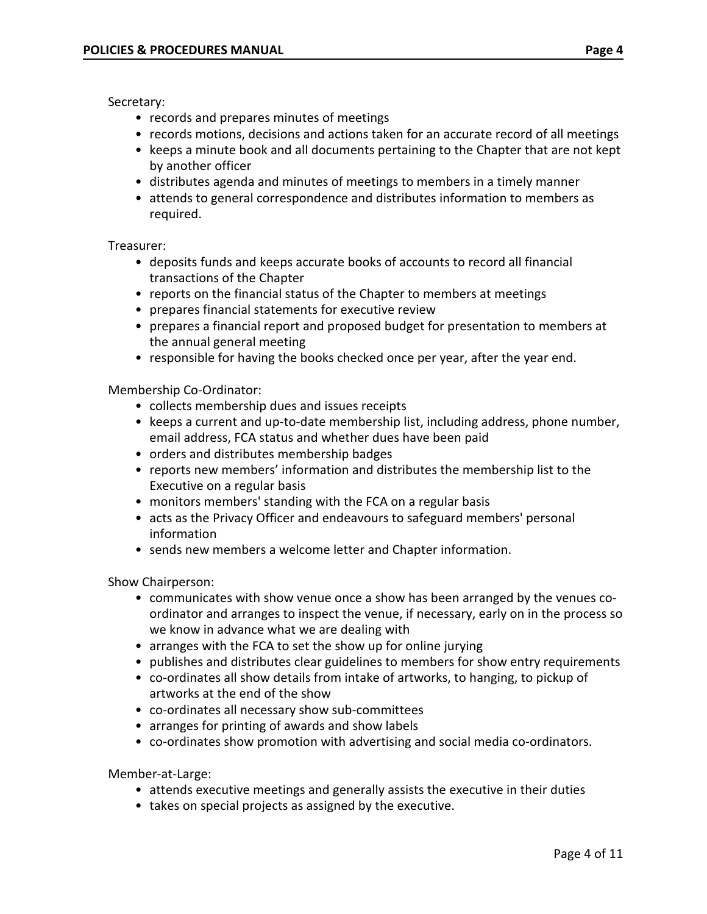Secretary:

- records and prepares minutes of meetings
- records motions, decisions and actions taken for an accurate record of all meetings
- keeps a minute book and all documents pertaining to the Chapter that are not kept by another officer
- distributes agenda and minutes of meetings to members in a timely manner
- attends to general correspondence and distributes information to members as required.

Treasurer:

- deposits funds and keeps accurate books of accounts to record all financial transactions of the Chapter
- reports on the financial status of the Chapter to members at meetings
- prepares financial statements for executive review
- prepares a financial report and proposed budget for presentation to members at the annual general meeting
- responsible for having the books checked once per year, after the year end.

Membership Co-Ordinator:

- collects membership dues and issues receipts
- keeps a current and up-to-date membership list, including address, phone number, email address, FCA status and whether dues have been paid
- orders and distributes membership badges
- reports new members' information and distributes the membership list to the Executive on a regular basis
- monitors members' standing with the FCA on a regular basis
- acts as the Privacy Officer and endeavours to safeguard members' personal information
- sends new members a welcome letter and Chapter information.

Show Chairperson:

- communicates with show venue once a show has been arranged by the venues coordinator and arranges to inspect the venue, if necessary, early on in the process so we know in advance what we are dealing with
- arranges with the FCA to set the show up for online jurying
- publishes and distributes clear guidelines to members for show entry requirements
- co-ordinates all show details from intake of artworks, to hanging, to pickup of artworks at the end of the show
- co-ordinates all necessary show sub-committees
- arranges for printing of awards and show labels
- co-ordinates show promotion with advertising and social media co-ordinators.

Member-at-Large:

- attends executive meetings and generally assists the executive in their duties
- takes on special projects as assigned by the executive.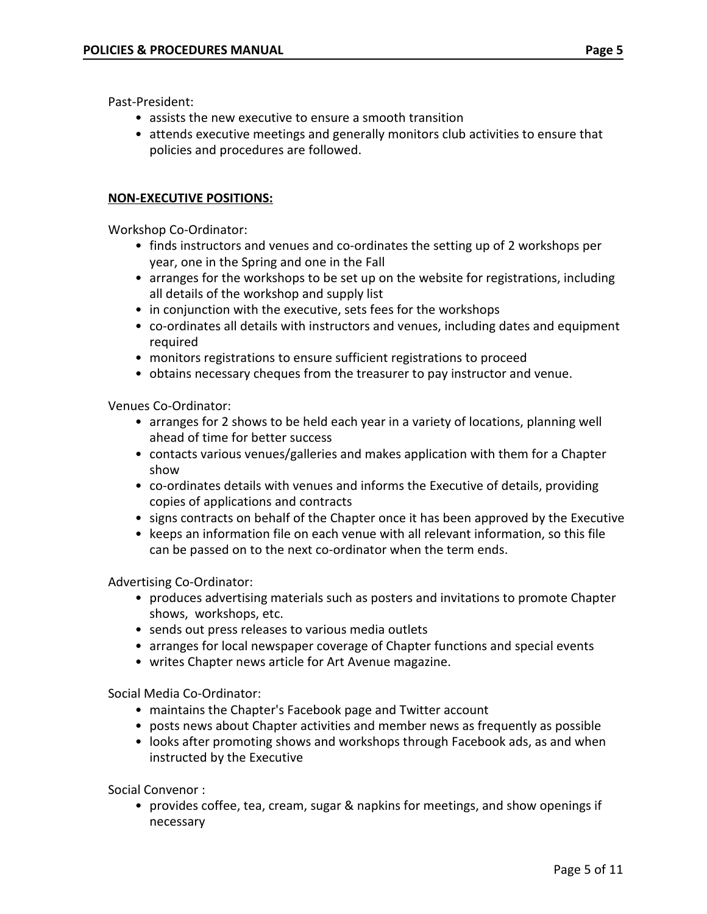Past-President:

- assists the new executive to ensure a smooth transition
- attends executive meetings and generally monitors club activities to ensure that policies and procedures are followed.

### **NON-EXECUTIVE POSITIONS:**

Workshop Co-Ordinator:

- finds instructors and venues and co-ordinates the setting up of 2 workshops per year, one in the Spring and one in the Fall
- arranges for the workshops to be set up on the website for registrations, including all details of the workshop and supply list
- in conjunction with the executive, sets fees for the workshops
- co-ordinates all details with instructors and venues, including dates and equipment required
- monitors registrations to ensure sufficient registrations to proceed
- obtains necessary cheques from the treasurer to pay instructor and venue.

Venues Co-Ordinator:

- arranges for 2 shows to be held each year in a variety of locations, planning well ahead of time for better success
- contacts various venues/galleries and makes application with them for a Chapter show
- co-ordinates details with venues and informs the Executive of details, providing copies of applications and contracts
- signs contracts on behalf of the Chapter once it has been approved by the Executive
- keeps an information file on each venue with all relevant information, so this file can be passed on to the next co-ordinator when the term ends.

Advertising Co-Ordinator:

- produces advertising materials such as posters and invitations to promote Chapter shows, workshops, etc.
- sends out press releases to various media outlets
- arranges for local newspaper coverage of Chapter functions and special events
- writes Chapter news article for Art Avenue magazine.

Social Media Co-Ordinator:

- maintains the Chapter's Facebook page and Twitter account
- posts news about Chapter activities and member news as frequently as possible
- looks after promoting shows and workshops through Facebook ads, as and when instructed by the Executive

Social Convenor :

• provides coffee, tea, cream, sugar & napkins for meetings, and show openings if necessary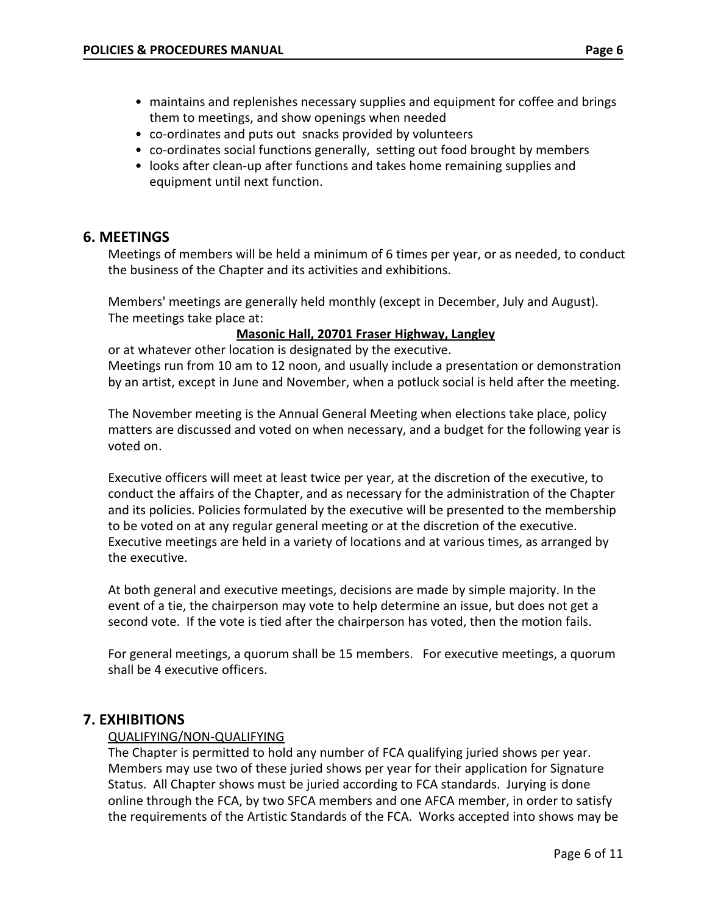- maintains and replenishes necessary supplies and equipment for coffee and brings them to meetings, and show openings when needed
- co-ordinates and puts out snacks provided by volunteers
- co-ordinates social functions generally, setting out food brought by members
- looks after clean-up after functions and takes home remaining supplies and equipment until next function.

# **6. MEETINGS**

Meetings of members will be held a minimum of 6 times per year, or as needed, to conduct the business of the Chapter and its activities and exhibitions.

Members' meetings are generally held monthly (except in December, July and August). The meetings take place at:

## **Masonic Hall, 20701 Fraser Highway, Langley**

or at whatever other location is designated by the executive. Meetings run from 10 am to 12 noon, and usually include a presentation or demonstration by an artist, except in June and November, when a potluck social is held after the meeting.

The November meeting is the Annual General Meeting when elections take place, policy matters are discussed and voted on when necessary, and a budget for the following year is voted on.

Executive officers will meet at least twice per year, at the discretion of the executive, to conduct the affairs of the Chapter, and as necessary for the administration of the Chapter and its policies. Policies formulated by the executive will be presented to the membership to be voted on at any regular general meeting or at the discretion of the executive. Executive meetings are held in a variety of locations and at various times, as arranged by the executive.

At both general and executive meetings, decisions are made by simple majority. In the event of a tie, the chairperson may vote to help determine an issue, but does not get a second vote. If the vote is tied after the chairperson has voted, then the motion fails.

For general meetings, a quorum shall be 15 members. For executive meetings, a quorum shall be 4 executive officers.

# **7. EXHIBITIONS**

### QUALIFYING/NON-QUALIFYING

The Chapter is permitted to hold any number of FCA qualifying juried shows per year. Members may use two of these juried shows per year for their application for Signature Status. All Chapter shows must be juried according to FCA standards. Jurying is done online through the FCA, by two SFCA members and one AFCA member, in order to satisfy the requirements of the Artistic Standards of the FCA. Works accepted into shows may be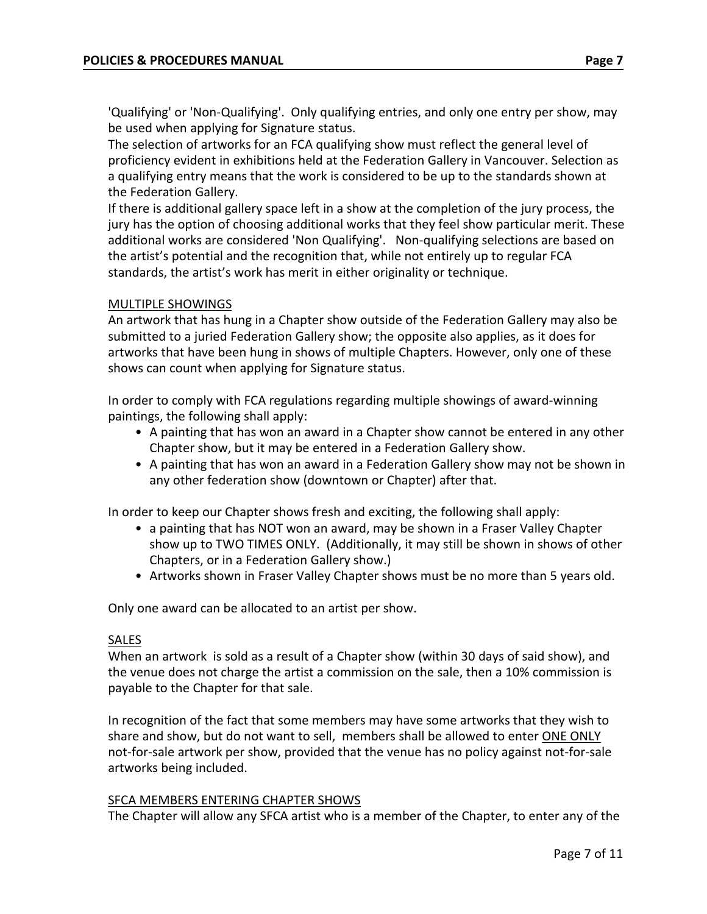'Qualifying' or 'Non-Qualifying'. Only qualifying entries, and only one entry per show, may be used when applying for Signature status.

The selection of artworks for an FCA qualifying show must reflect the general level of proficiency evident in exhibitions held at the Federation Gallery in Vancouver. Selection as a qualifying entry means that the work is considered to be up to the standards shown at the Federation Gallery.

If there is additional gallery space left in a show at the completion of the jury process, the jury has the option of choosing additional works that they feel show particular merit. These additional works are considered 'Non Qualifying'. Non-qualifying selections are based on the artist's potential and the recognition that, while not entirely up to regular FCA standards, the artist's work has merit in either originality or technique.

### MULTIPLE SHOWINGS

An artwork that has hung in a Chapter show outside of the Federation Gallery may also be submitted to a juried Federation Gallery show; the opposite also applies, as it does for artworks that have been hung in shows of multiple Chapters. However, only one of these shows can count when applying for Signature status.

In order to comply with FCA regulations regarding multiple showings of award-winning paintings, the following shall apply:

- A painting that has won an award in a Chapter show cannot be entered in any other Chapter show, but it may be entered in a Federation Gallery show.
- A painting that has won an award in a Federation Gallery show may not be shown in any other federation show (downtown or Chapter) after that.

In order to keep our Chapter shows fresh and exciting, the following shall apply:

- a painting that has NOT won an award, may be shown in a Fraser Valley Chapter show up to TWO TIMES ONLY. (Additionally, it may still be shown in shows of other Chapters, or in a Federation Gallery show.)
- Artworks shown in Fraser Valley Chapter shows must be no more than 5 years old.

Only one award can be allocated to an artist per show.

### SALES

When an artwork is sold as a result of a Chapter show (within 30 days of said show), and the venue does not charge the artist a commission on the sale, then a 10% commission is payable to the Chapter for that sale.

In recognition of the fact that some members may have some artworks that they wish to share and show, but do not want to sell, members shall be allowed to enter ONE ONLY not-for-sale artwork per show, provided that the venue has no policy against not-for-sale artworks being included.

### SFCA MEMBERS ENTERING CHAPTER SHOWS

The Chapter will allow any SFCA artist who is a member of the Chapter, to enter any of the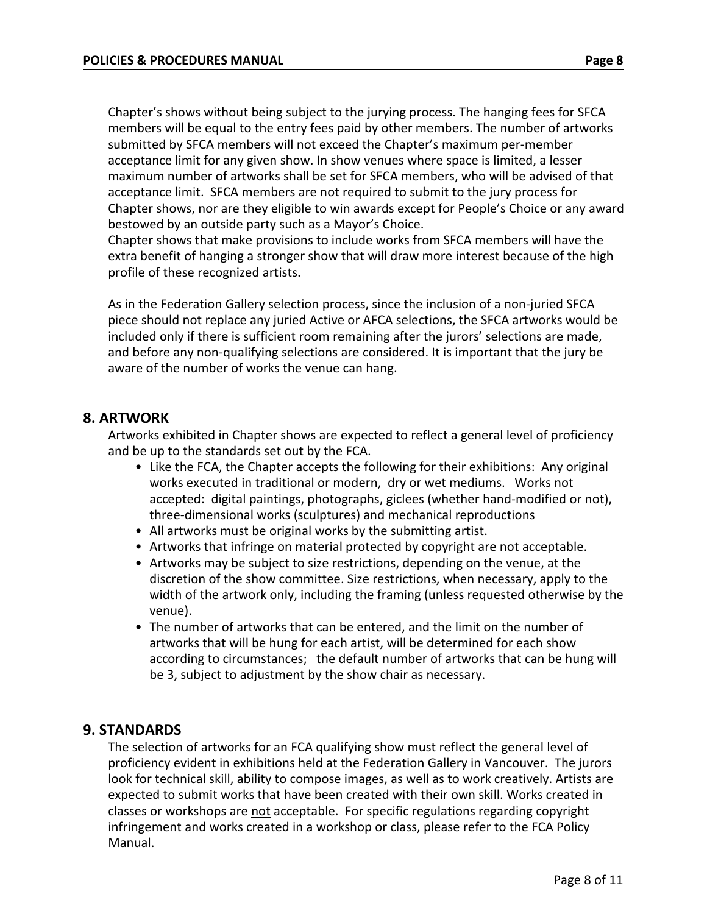Chapter's shows without being subject to the jurying process. The hanging fees for SFCA members will be equal to the entry fees paid by other members. The number of artworks submitted by SFCA members will not exceed the Chapter's maximum per-member acceptance limit for any given show. In show venues where space is limited, a lesser maximum number of artworks shall be set for SFCA members, who will be advised of that acceptance limit. SFCA members are not required to submit to the jury process for Chapter shows, nor are they eligible to win awards except for People's Choice or any award bestowed by an outside party such as a Mayor's Choice.

Chapter shows that make provisions to include works from SFCA members will have the extra benefit of hanging a stronger show that will draw more interest because of the high profile of these recognized artists.

As in the Federation Gallery selection process, since the inclusion of a non-juried SFCA piece should not replace any juried Active or AFCA selections, the SFCA artworks would be included only if there is sufficient room remaining after the jurors' selections are made, and before any non-qualifying selections are considered. It is important that the jury be aware of the number of works the venue can hang.

# **8. ARTWORK**

Artworks exhibited in Chapter shows are expected to reflect a general level of proficiency and be up to the standards set out by the FCA.

- Like the FCA, the Chapter accepts the following for their exhibitions: Any original works executed in traditional or modern, dry or wet mediums. Works not accepted: digital paintings, photographs, giclees (whether hand-modified or not), three-dimensional works (sculptures) and mechanical reproductions
- All artworks must be original works by the submitting artist.
- Artworks that infringe on material protected by copyright are not acceptable.
- Artworks may be subject to size restrictions, depending on the venue, at the discretion of the show committee. Size restrictions, when necessary, apply to the width of the artwork only, including the framing (unless requested otherwise by the venue).
- The number of artworks that can be entered, and the limit on the number of artworks that will be hung for each artist, will be determined for each show according to circumstances; the default number of artworks that can be hung will be 3, subject to adjustment by the show chair as necessary.

# **9. STANDARDS**

The selection of artworks for an FCA qualifying show must reflect the general level of proficiency evident in exhibitions held at the Federation Gallery in Vancouver. The jurors look for technical skill, ability to compose images, as well as to work creatively. Artists are expected to submit works that have been created with their own skill. Works created in classes or workshops are not acceptable. For specific regulations regarding copyright infringement and works created in a workshop or class, please refer to the FCA Policy Manual.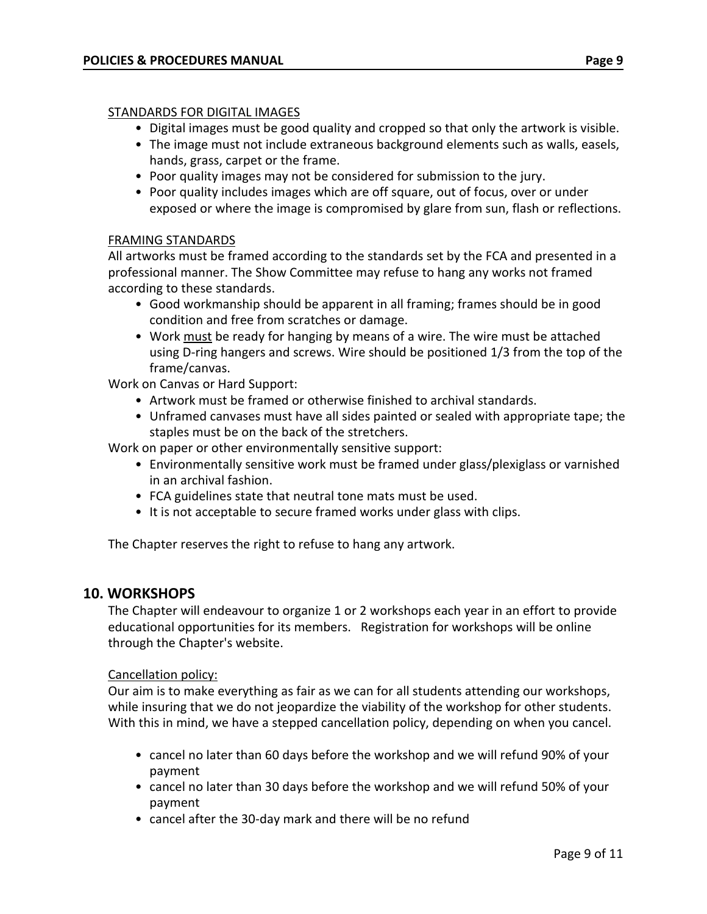### STANDARDS FOR DIGITAL IMAGES

- Digital images must be good quality and cropped so that only the artwork is visible.
- The image must not include extraneous background elements such as walls, easels, hands, grass, carpet or the frame.
- Poor quality images may not be considered for submission to the jury.
- Poor quality includes images which are off square, out of focus, over or under exposed or where the image is compromised by glare from sun, flash or reflections.

### FRAMING STANDARDS

All artworks must be framed according to the standards set by the FCA and presented in a professional manner. The Show Committee may refuse to hang any works not framed according to these standards.

- Good workmanship should be apparent in all framing; frames should be in good condition and free from scratches or damage.
- Work must be ready for hanging by means of a wire. The wire must be attached using D-ring hangers and screws. Wire should be positioned 1/3 from the top of the frame/canvas.

Work on Canvas or Hard Support:

- Artwork must be framed or otherwise finished to archival standards.
- Unframed canvases must have all sides painted or sealed with appropriate tape; the staples must be on the back of the stretchers.

Work on paper or other environmentally sensitive support:

- Environmentally sensitive work must be framed under glass/plexiglass or varnished in an archival fashion.
- FCA guidelines state that neutral tone mats must be used.
- It is not acceptable to secure framed works under glass with clips.

The Chapter reserves the right to refuse to hang any artwork.

## **10. WORKSHOPS**

The Chapter will endeavour to organize 1 or 2 workshops each year in an effort to provide educational opportunities for its members. Registration for workshops will be online through the Chapter's website.

### Cancellation policy:

Our aim is to make everything as fair as we can for all students attending our workshops, while insuring that we do not jeopardize the viability of the workshop for other students. With this in mind, we have a stepped cancellation policy, depending on when you cancel.

- cancel no later than 60 days before the workshop and we will refund 90% of your payment
- cancel no later than 30 days before the workshop and we will refund 50% of your payment
- cancel after the 30-day mark and there will be no refund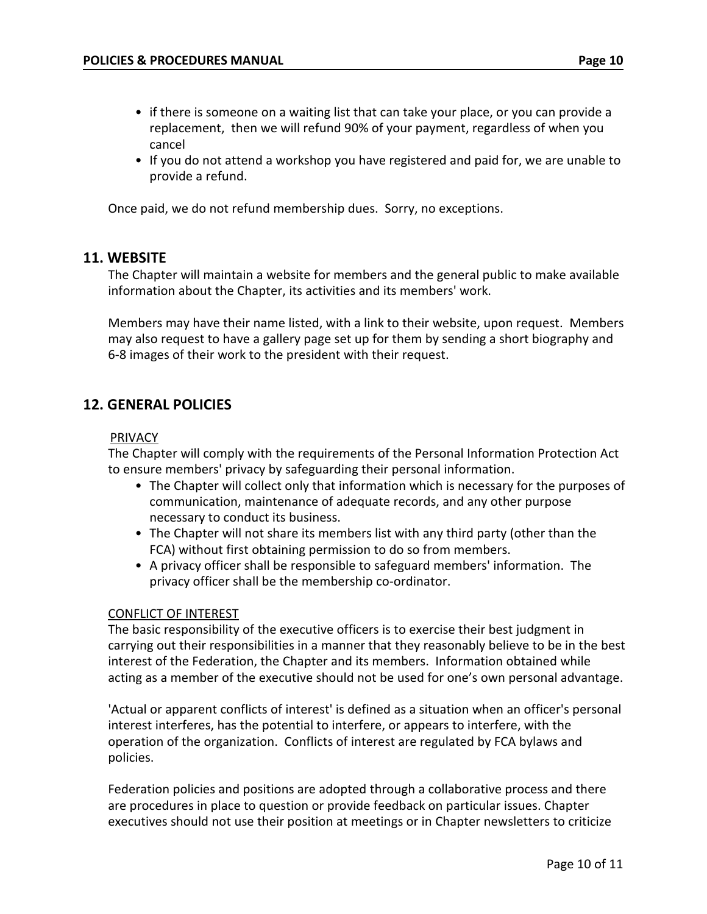- if there is someone on a waiting list that can take your place, or you can provide a replacement, then we will refund 90% of your payment, regardless of when you cancel
- If you do not attend a workshop you have registered and paid for, we are unable to provide a refund.

Once paid, we do not refund membership dues. Sorry, no exceptions.

### **11. WEBSITE**

The Chapter will maintain a website for members and the general public to make available information about the Chapter, its activities and its members' work.

Members may have their name listed, with a link to their website, upon request. Members may also request to have a gallery page set up for them by sending a short biography and 6-8 images of their work to the president with their request.

## **12. GENERAL POLICIES**

#### PRIVACY

The Chapter will comply with the requirements of the Personal Information Protection Act to ensure members' privacy by safeguarding their personal information.

- The Chapter will collect only that information which is necessary for the purposes of communication, maintenance of adequate records, and any other purpose necessary to conduct its business.
- The Chapter will not share its members list with any third party (other than the FCA) without first obtaining permission to do so from members.
- A privacy officer shall be responsible to safeguard members' information. The privacy officer shall be the membership co-ordinator.

### CONFLICT OF INTEREST

The basic responsibility of the executive officers is to exercise their best judgment in carrying out their responsibilities in a manner that they reasonably believe to be in the best interest of the Federation, the Chapter and its members. Information obtained while acting as a member of the executive should not be used for one's own personal advantage.

'Actual or apparent conflicts of interest' is defined as a situation when an officer's personal interest interferes, has the potential to interfere, or appears to interfere, with the operation of the organization. Conflicts of interest are regulated by FCA bylaws and policies.

Federation policies and positions are adopted through a collaborative process and there are procedures in place to question or provide feedback on particular issues. Chapter executives should not use their position at meetings or in Chapter newsletters to criticize